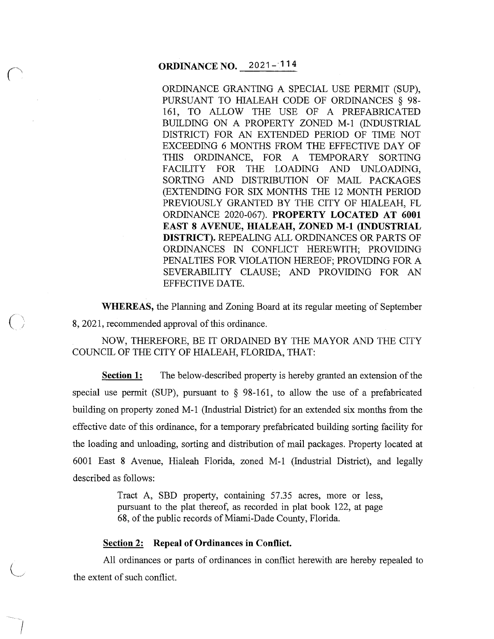# **ORDINANCE NO.** 2021-114

ORDINANCE GRANTING A SPECIAL USE PERMIT (SUP), PURSUANT TO HIALEAH CODE OF ORDINANCES § 98- 161, TO ALLOW THE USE OF A PREFABRICATED BUILDING ON A PROPERTY ZONED M-1 (INDUSTRIAL DISTRICT) FOR AN EXTENDED PERIOD OF TIME NOT EXCEEDING 6 MONTHS FROM THE EFFECTIVE DAY OF THIS ORDINANCE, FOR A TEMPORARY SORTING FACILITY FOR THE LOADING AND UNLOADING, SORTING AND DISTRIBUTION OF MAIL PACKAGES (EXTENDING FOR SIX MONTHS THE 12 MONTH PERIOD PREVIOUSLY GRANTED BY THE CITY OF HIALEAH, FL ORDINANCE 2020-067). **PROPERTY LOCATED AT 6001 EAST 8 AVENUE, HIALEAH, ZONED M-1 (INDUSTRIAL DISTRICT).** REPEALING ALL ORDINANCES OR PARTS OF ORDINANCES IN CONFLICT HEREWITH; PROVIDING PENALTIES FOR VIOLATION HEREOF; PROVIDING FOR A SEVERABILITY CLAUSE; AND PROVIDING FOR AN EFFECTIVE DATE.

**WHEREAS,** the Planning and Zoning Board at its regular meeting of September 8, 2021, recommended approval of this ordinance.

NOW, THEREFORE, BE IT ORDAINED BY THE MAYOR AND THE CITY COUNCIL OF THE CITY OF HIALEAH, FLORIDA, THAT:

**Section 1:** The below-described property is hereby granted an extension of the special use permit (SUP), pursuant to § 98-161, to allow the use of a prefabricated building on property zoned M-1 (Industrial District) for an extended six months from the effective date of this ordinance, for a temporary prefabricated building sorting facility for the loading and unloading, sorting and distribution of mail packages. Property located at 6001 East 8 Avenue, Hialeah Florida, zoned M-1 (Industrial District), and legally described as follows:

> Tract A, SBD property, containing 57.35 acres, more or less, pursuant to the plat thereof, as recorded in plat book 122, at page 68, of the public records of Miami-Dade County, Florida.

## **Section 2: Repeal of Ordinances in Conflict.**

 $\bigcup$ 

 $\int_{-\infty}^{\infty}$ 

All ordinances or parts of ordinances in conflict herewith are hereby repealed to the extent of such conflict.